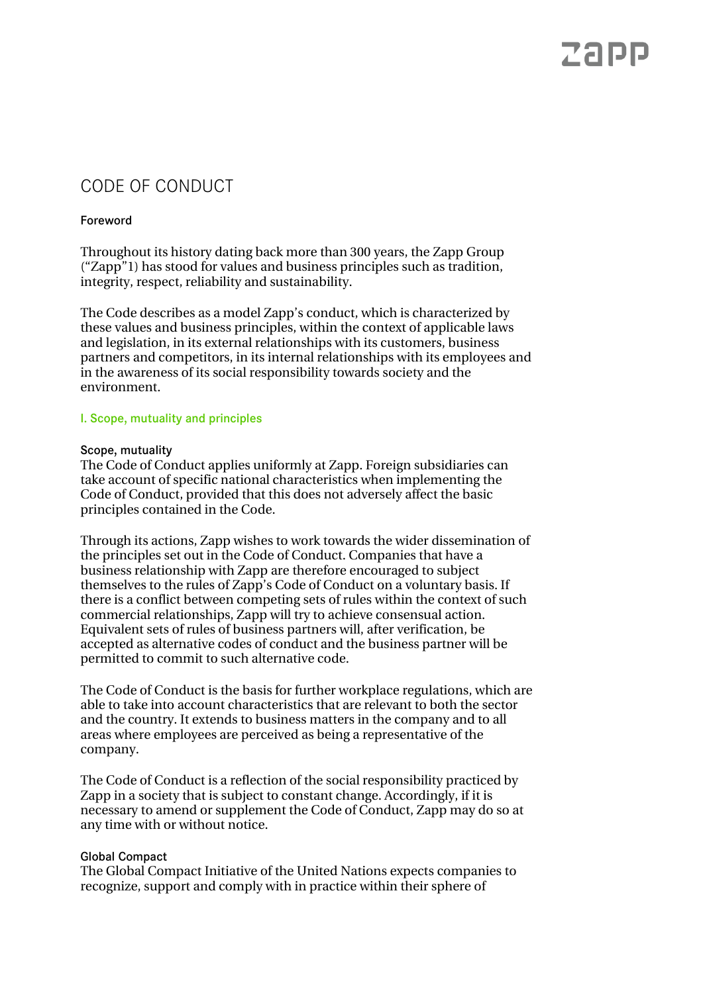# Zapp

### CODE OF CONDUCT

### Foreword

Throughout its history dating back more than 300 years, the Zapp Group ("Zapp"1) has stood for values and business principles such as tradition, integrity, respect, reliability and sustainability.

The Code describes as a model Zapp's conduct, which is characterized by these values and business principles, within the context of applicable laws and legislation, in its external relationships with its customers, business partners and competitors, in its internal relationships with its employees and in the awareness of its social responsibility towards society and the environment.

#### I. Scope, mutuality and principles

#### Scope, mutuality

The Code of Conduct applies uniformly at Zapp. Foreign subsidiaries can take account of specific national characteristics when implementing the Code of Conduct, provided that this does not adversely affect the basic principles contained in the Code.

Through its actions, Zapp wishes to work towards the wider dissemination of the principles set out in the Code of Conduct. Companies that have a business relationship with Zapp are therefore encouraged to subject themselves to the rules of Zapp's Code of Conduct on a voluntary basis. If there is a conflict between competing sets of rules within the context of such commercial relationships, Zapp will try to achieve consensual action. Equivalent sets of rules of business partners will, after verification, be accepted as alternative codes of conduct and the business partner will be permitted to commit to such alternative code.

The Code of Conduct is the basis for further workplace regulations, which are able to take into account characteristics that are relevant to both the sector and the country. It extends to business matters in the company and to all areas where employees are perceived as being a representative of the company.

The Code of Conduct is a reflection of the social responsibility practiced by Zapp in a society that is subject to constant change. Accordingly, if it is necessary to amend or supplement the Code of Conduct, Zapp may do so at any time with or without notice.

#### Global Compact

The Global Compact Initiative of the United Nations expects companies to recognize, support and comply with in practice within their sphere of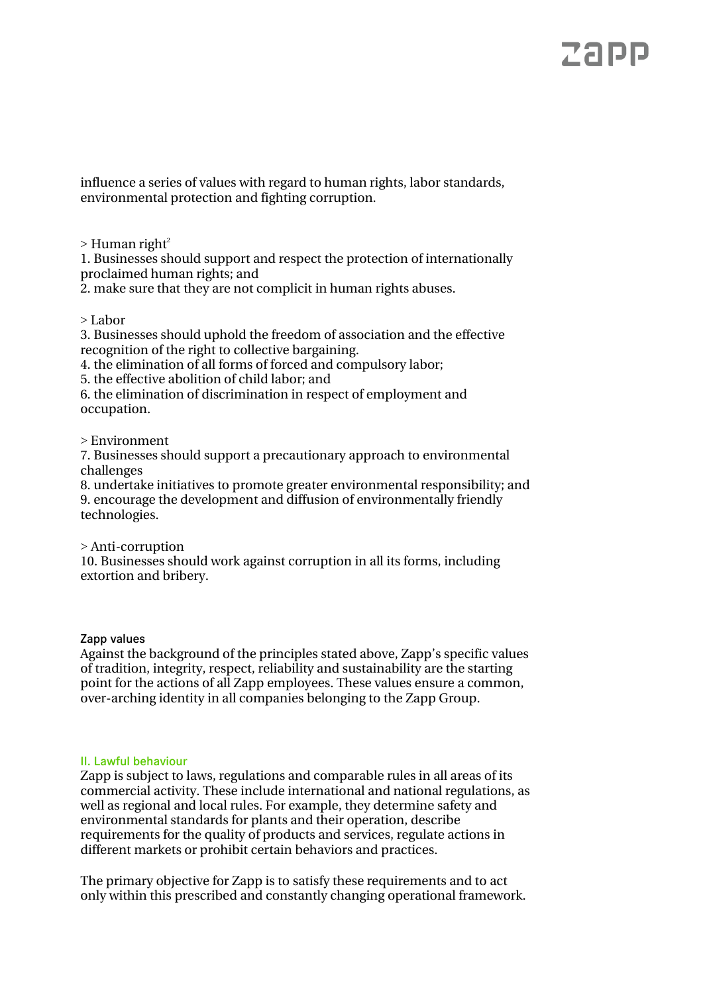# ZADD

influence a series of values with regard to human rights, labor standards, environmental protection and fighting corruption.

 $>$  Human right<sup>2</sup>

1. Businesses should support and respect the protection of internationally proclaimed human rights; and

2. make sure that they are not complicit in human rights abuses.

> Labor

3. Businesses should uphold the freedom of association and the effective recognition of the right to collective bargaining.

4. the elimination of all forms of forced and compulsory labor;

5. the effective abolition of child labor; and

6. the elimination of discrimination in respect of employment and occupation.

> Environment

7. Businesses should support a precautionary approach to environmental challenges

8. undertake initiatives to promote greater environmental responsibility; and 9. encourage the development and diffusion of environmentally friendly technologies.

> Anti-corruption

10. Businesses should work against corruption in all its forms, including extortion and bribery.

Zapp values

Against the background of the principles stated above, Zapp's specific values of tradition, integrity, respect, reliability and sustainability are the starting point for the actions of all Zapp employees. These values ensure a common, over-arching identity in all companies belonging to the Zapp Group.

### II. Lawful behaviour

Zapp is subject to laws, regulations and comparable rules in all areas of its commercial activity. These include international and national regulations, as well as regional and local rules. For example, they determine safety and environmental standards for plants and their operation, describe requirements for the quality of products and services, regulate actions in different markets or prohibit certain behaviors and practices.

The primary objective for Zapp is to satisfy these requirements and to act only within this prescribed and constantly changing operational framework.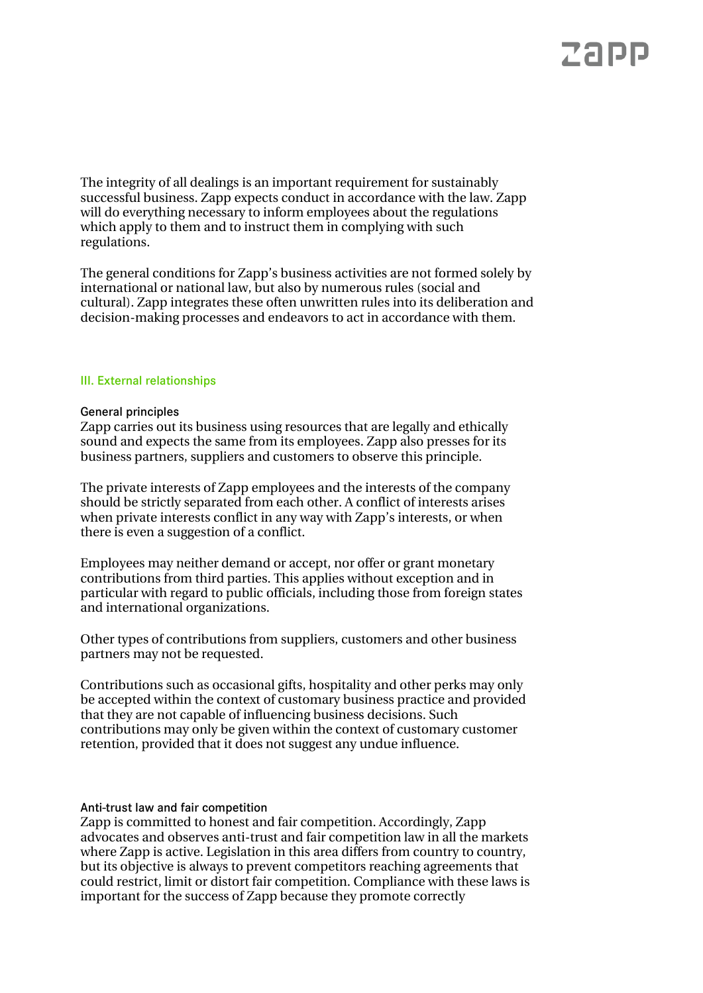## ZADD

The integrity of all dealings is an important requirement for sustainably successful business. Zapp expects conduct in accordance with the law. Zapp will do everything necessary to inform employees about the regulations which apply to them and to instruct them in complying with such regulations.

The general conditions for Zapp's business activities are not formed solely by international or national law, but also by numerous rules (social and cultural). Zapp integrates these often unwritten rules into its deliberation and decision-making processes and endeavors to act in accordance with them.

#### III. External relationships

#### General principles

Zapp carries out its business using resources that are legally and ethically sound and expects the same from its employees. Zapp also presses for its business partners, suppliers and customers to observe this principle.

The private interests of Zapp employees and the interests of the company should be strictly separated from each other. A conflict of interests arises when private interests conflict in any way with Zapp's interests, or when there is even a suggestion of a conflict.

Employees may neither demand or accept, nor offer or grant monetary contributions from third parties. This applies without exception and in particular with regard to public officials, including those from foreign states and international organizations.

Other types of contributions from suppliers, customers and other business partners may not be requested.

Contributions such as occasional gifts, hospitality and other perks may only be accepted within the context of customary business practice and provided that they are not capable of influencing business decisions. Such contributions may only be given within the context of customary customer retention, provided that it does not suggest any undue influence.

#### Anti-trust law and fair competition

Zapp is committed to honest and fair competition. Accordingly, Zapp advocates and observes anti-trust and fair competition law in all the markets where Zapp is active. Legislation in this area differs from country to country, but its objective is always to prevent competitors reaching agreements that could restrict, limit or distort fair competition. Compliance with these laws is important for the success of Zapp because they promote correctly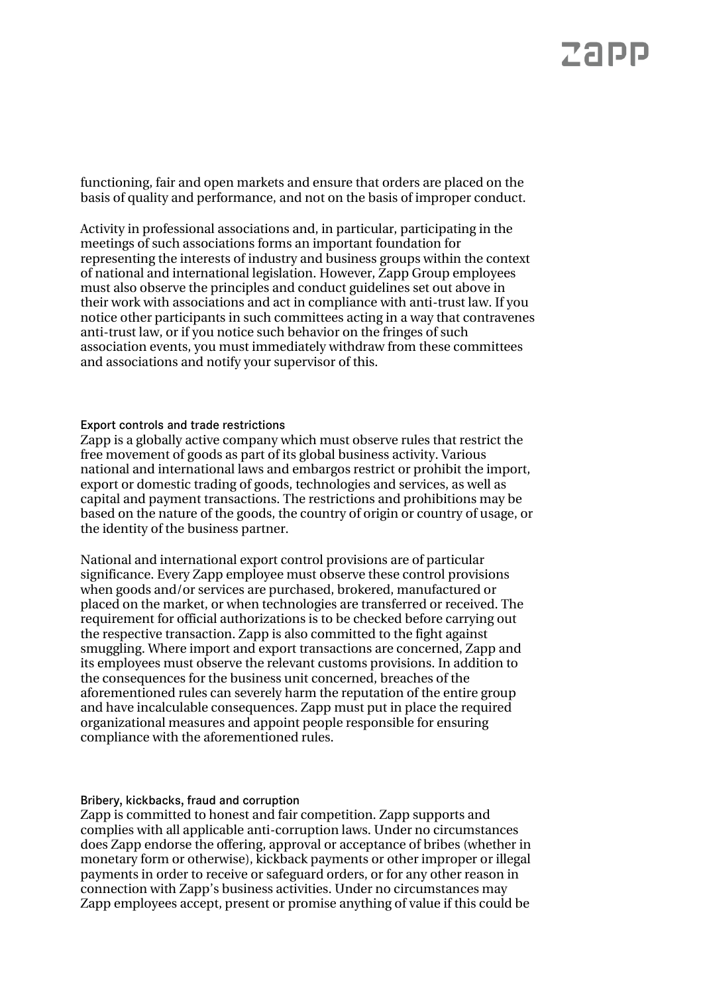## ZADD

functioning, fair and open markets and ensure that orders are placed on the basis of quality and performance, and not on the basis of improper conduct.

Activity in professional associations and, in particular, participating in the meetings of such associations forms an important foundation for representing the interests of industry and business groups within the context of national and international legislation. However, Zapp Group employees must also observe the principles and conduct guidelines set out above in their work with associations and act in compliance with anti-trust law. If you notice other participants in such committees acting in a way that contravenes anti-trust law, or if you notice such behavior on the fringes of such association events, you must immediately withdraw from these committees and associations and notify your supervisor of this.

#### Export controls and trade restrictions

Zapp is a globally active company which must observe rules that restrict the free movement of goods as part of its global business activity. Various national and international laws and embargos restrict or prohibit the import, export or domestic trading of goods, technologies and services, as well as capital and payment transactions. The restrictions and prohibitions may be based on the nature of the goods, the country of origin or country of usage, or the identity of the business partner.

National and international export control provisions are of particular significance. Every Zapp employee must observe these control provisions when goods and/or services are purchased, brokered, manufactured or placed on the market, or when technologies are transferred or received. The requirement for official authorizations is to be checked before carrying out the respective transaction. Zapp is also committed to the fight against smuggling. Where import and export transactions are concerned, Zapp and its employees must observe the relevant customs provisions. In addition to the consequences for the business unit concerned, breaches of the aforementioned rules can severely harm the reputation of the entire group and have incalculable consequences. Zapp must put in place the required organizational measures and appoint people responsible for ensuring compliance with the aforementioned rules.

#### Bribery, kickbacks, fraud and corruption

Zapp is committed to honest and fair competition. Zapp supports and complies with all applicable anti-corruption laws. Under no circumstances does Zapp endorse the offering, approval or acceptance of bribes (whether in monetary form or otherwise), kickback payments or other improper or illegal payments in order to receive or safeguard orders, or for any other reason in connection with Zapp's business activities. Under no circumstances may Zapp employees accept, present or promise anything of value if this could be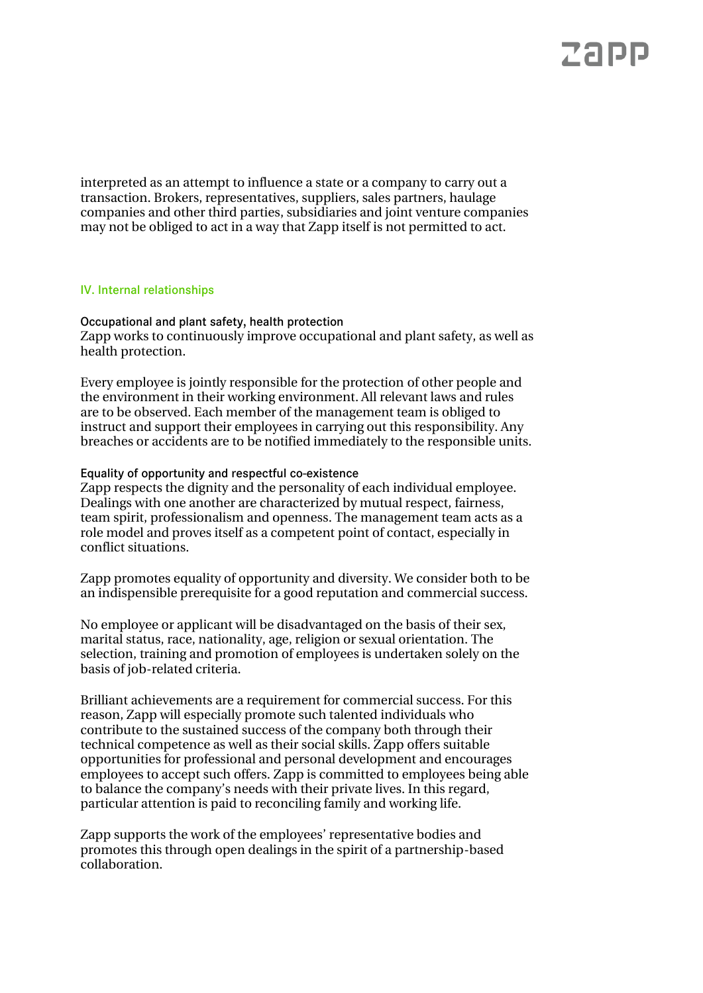interpreted as an attempt to influence a state or a company to carry out a transaction. Brokers, representatives, suppliers, sales partners, haulage companies and other third parties, subsidiaries and joint venture companies may not be obliged to act in a way that Zapp itself is not permitted to act.

#### IV. Internal relationships

Occupational and plant safety, health protection Zapp works to continuously improve occupational and plant safety, as well as health protection.

Every employee is jointly responsible for the protection of other people and the environment in their working environment. All relevant laws and rules are to be observed. Each member of the management team is obliged to instruct and support their employees in carrying out this responsibility. Any breaches or accidents are to be notified immediately to the responsible units.

Equality of opportunity and respectful co-existence

Zapp respects the dignity and the personality of each individual employee. Dealings with one another are characterized by mutual respect, fairness, team spirit, professionalism and openness. The management team acts as a role model and proves itself as a competent point of contact, especially in conflict situations.

Zapp promotes equality of opportunity and diversity. We consider both to be an indispensible prerequisite for a good reputation and commercial success.

No employee or applicant will be disadvantaged on the basis of their sex, marital status, race, nationality, age, religion or sexual orientation. The selection, training and promotion of employees is undertaken solely on the basis of job-related criteria.

Brilliant achievements are a requirement for commercial success. For this reason, Zapp will especially promote such talented individuals who contribute to the sustained success of the company both through their technical competence as well as their social skills. Zapp offers suitable opportunities for professional and personal development and encourages employees to accept such offers. Zapp is committed to employees being able to balance the company's needs with their private lives. In this regard, particular attention is paid to reconciling family and working life.

Zapp supports the work of the employees' representative bodies and promotes this through open dealings in the spirit of a partnership-based collaboration.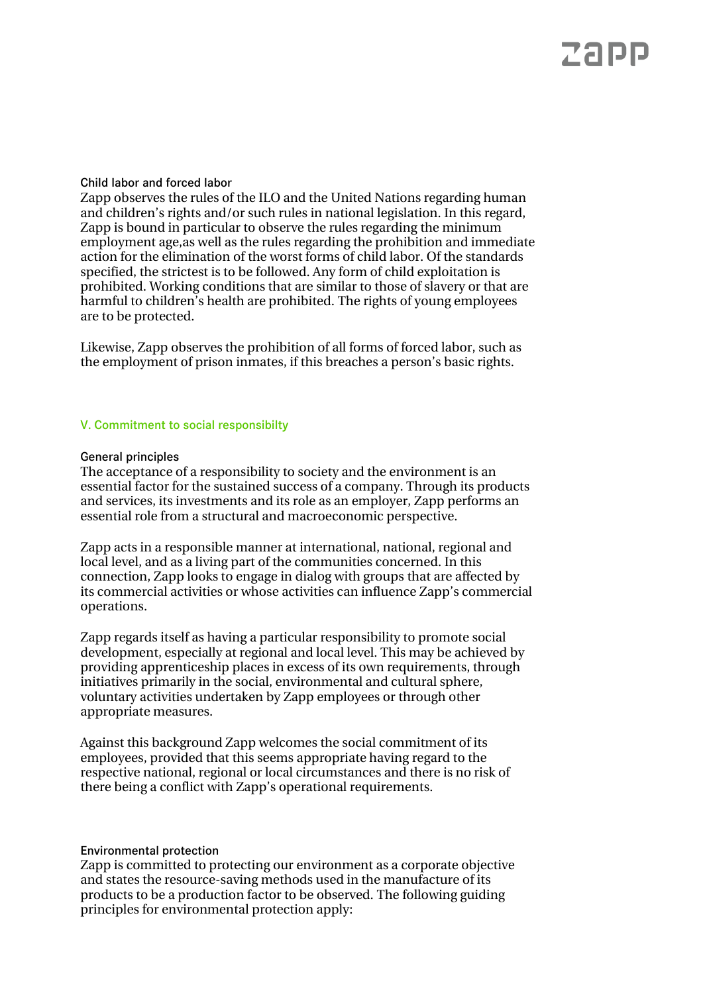#### Child labor and forced labor

Zapp observes the rules of the ILO and the United Nations regarding human and children's rights and/or such rules in national legislation. In this regard, Zapp is bound in particular to observe the rules regarding the minimum employment age,as well as the rules regarding the prohibition and immediate action for the elimination of the worst forms of child labor. Of the standards specified, the strictest is to be followed. Any form of child exploitation is prohibited. Working conditions that are similar to those of slavery or that are harmful to children's health are prohibited. The rights of young employees are to be protected.

Likewise, Zapp observes the prohibition of all forms of forced labor, such as the employment of prison inmates, if this breaches a person's basic rights.

### V. Commitment to social responsibilty

#### General principles

The acceptance of a responsibility to society and the environment is an essential factor for the sustained success of a company. Through its products and services, its investments and its role as an employer, Zapp performs an essential role from a structural and macroeconomic perspective.

Zapp acts in a responsible manner at international, national, regional and local level, and as a living part of the communities concerned. In this connection, Zapp looks to engage in dialog with groups that are affected by its commercial activities or whose activities can influence Zapp's commercial operations.

Zapp regards itself as having a particular responsibility to promote social development, especially at regional and local level. This may be achieved by providing apprenticeship places in excess of its own requirements, through initiatives primarily in the social, environmental and cultural sphere, voluntary activities undertaken by Zapp employees or through other appropriate measures.

Against this background Zapp welcomes the social commitment of its employees, provided that this seems appropriate having regard to the respective national, regional or local circumstances and there is no risk of there being a conflict with Zapp's operational requirements.

#### Environmental protection

Zapp is committed to protecting our environment as a corporate objective and states the resource-saving methods used in the manufacture of its products to be a production factor to be observed. The following guiding principles for environmental protection apply: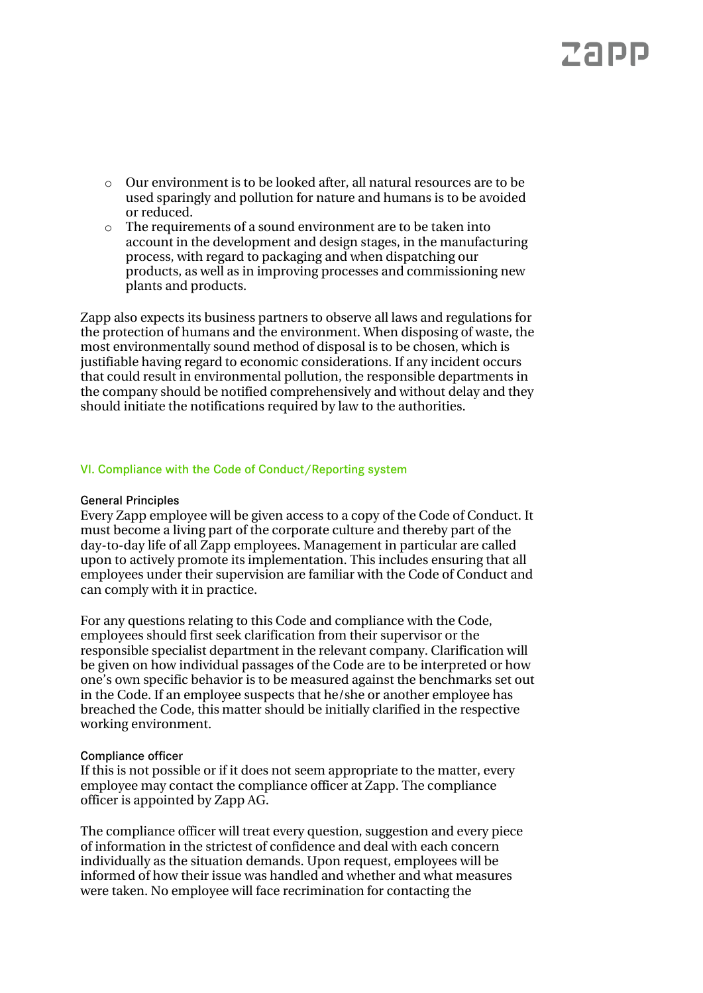- o Our environment is to be looked after, all natural resources are to be used sparingly and pollution for nature and humans is to be avoided or reduced.
- o The requirements of a sound environment are to be taken into account in the development and design stages, in the manufacturing process, with regard to packaging and when dispatching our products, as well as in improving processes and commissioning new plants and products.

Zapp also expects its business partners to observe all laws and regulations for the protection of humans and the environment. When disposing of waste, the most environmentally sound method of disposal is to be chosen, which is justifiable having regard to economic considerations. If any incident occurs that could result in environmental pollution, the responsible departments in the company should be notified comprehensively and without delay and they should initiate the notifications required by law to the authorities.

#### VI. Compliance with the Code of Conduct/Reporting system

#### General Principles

Every Zapp employee will be given access to a copy of the Code of Conduct. It must become a living part of the corporate culture and thereby part of the day-to-day life of all Zapp employees. Management in particular are called upon to actively promote its implementation. This includes ensuring that all employees under their supervision are familiar with the Code of Conduct and can comply with it in practice.

For any questions relating to this Code and compliance with the Code, employees should first seek clarification from their supervisor or the responsible specialist department in the relevant company. Clarification will be given on how individual passages of the Code are to be interpreted or how one's own specific behavior is to be measured against the benchmarks set out in the Code. If an employee suspects that he/she or another employee has breached the Code, this matter should be initially clarified in the respective working environment.

#### Compliance officer

If this is not possible or if it does not seem appropriate to the matter, every employee may contact the compliance officer at Zapp. The compliance officer is appointed by Zapp AG.

The compliance officer will treat every question, suggestion and every piece of information in the strictest of confidence and deal with each concern individually as the situation demands. Upon request, employees will be informed of how their issue was handled and whether and what measures were taken. No employee will face recrimination for contacting the